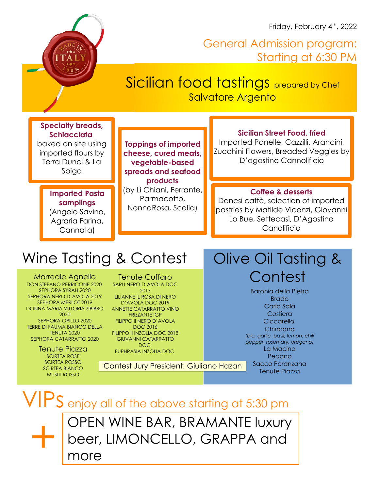Friday, February 4<sup>th</sup>, 2022

# I T A I

# General Admission program: Starting at 6:30 PM

# Sicilian food tastings prepared by Chef Salvatore Argento

# **Specialty breads, Schiacciata**

baked on site using imported flours by Terra Dunci & La Spiga

# **Imported Pasta samplings** (Angelo Savino,

Agraria Farina, Cannata)

**Toppings of imported cheese, cured meats, vegetable-based spreads and seafood products** (by Li Chiani, Ferrante, Parmacotto, NonnaRosa, Scalia)

# **Sicilian Street Food, fried**

Imported Panelle, Cazzilli, Arancini, Zucchini Flowers, Breaded Veggies by D'agostino Cannolificio

# **Coffee & desserts**

Danesi caffè, selection of imported pastries by Matilde Vicenzi, Giovanni Lo Bue, Settecasi, D'Agostino Canolificio

# Wine Tasting & Contest

Morreale Agnello DON STEFANO PERRICONE 2020 SEPHORA SYRAH 2020 SEPHORA NERO D'AVOLA 2019 SEPHORA MERLOT 2019 DONNA MARIA VITTORIA ZIBIBBO 2020 SEPHORA GRILLO 2020 TERRE DI FAUMA BIANCO DELLA TENUTA 2020 SEPHORA CATARRATTO 2020

> Tenute Piazza SCIRTEA ROSE SCIRTEA ROSSO SCIRTEA BIANCO MUSITI ROSSO

Tenute Cuffaro SARU NERO D'AVOLA DOC 2017

LILIANNE IL ROSA DI NERO D'AVOLA DOC 2019 ANNETTE CATARRATTO VINO

### FRIZZANTE IGP FILIPPO II NERO D'AVOLA DOC 2016

FILIPPO II INZOLIA DOC 2018 GIUVANNI CATARRATTO DOC

EUPHRASIA INZOLIA DOC

Contest Jury President: Giuliano Hazan

# Olive Oil Tasting & **Contest**

Baronia della Pietra Brado Carla Sala Costiera **Ciccarello** Chincana *(bio, garlic, basil, lemon, chili pepper, rosemary, oregano)* La Macina Pedano Sacco Peranzana Tenute Piazza

VIPS enjoy all of the above starting at 5:30 pm +

OPEN WINE BAR, BRAMANTE luxury beer, LIMONCELLO, GRAPPA and

more